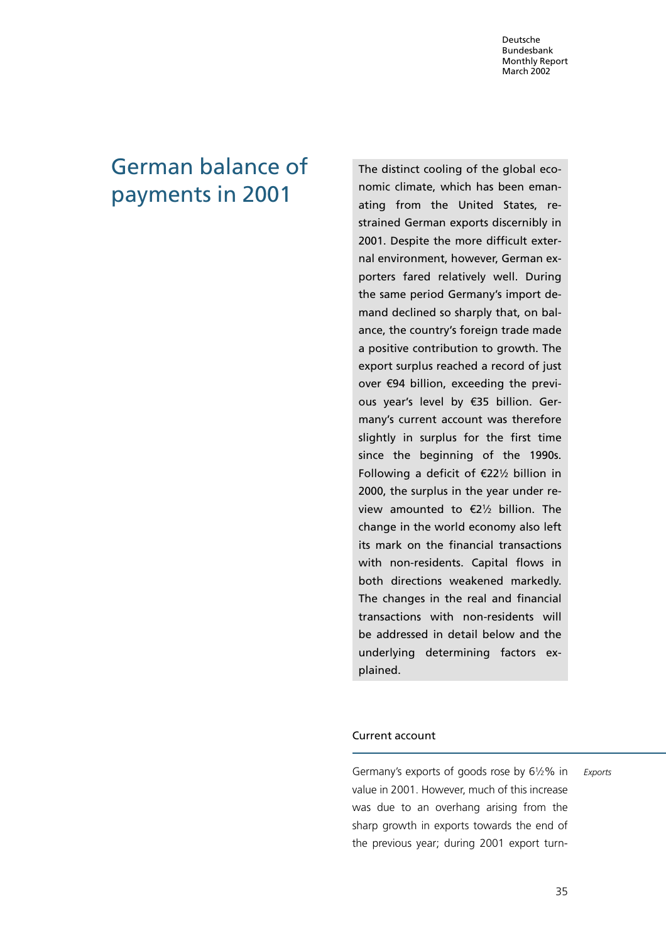# German balance of payments in 2001

The distinct cooling of the global economic climate, which has been emanating from the United States, restrained German exports discernibly in 2001. Despite the more difficult external environment, however, German exporters fared relatively well. During the same period Germany's import demand declined so sharply that, on balance, the country's foreign trade made a positive contribution to growth. The export surplus reached a record of just over 594 billion, exceeding the previous year's level by €35 billion. Germany's current account was therefore slightly in surplus for the first time since the beginning of the 1990s. Following a deficit of  $E22\frac{1}{2}$  billion in 2000, the surplus in the year under review amounted to  $\epsilon$ 21/2 billion. The change in the world economy also left its mark on the financial transactions with non-residents. Capital flows in both directions weakened markedly. The changes in the real and financial transactions with non-residents will be addressed in detail below and the underlying determining factors explained.

## Current account

Germany's exports of goods rose by  $6\frac{1}{2}\%$  in value in 2001. However, much of this increase was due to an overhang arising from the sharp growth in exports towards the end of the previous year; during 2001 export turn-

Exports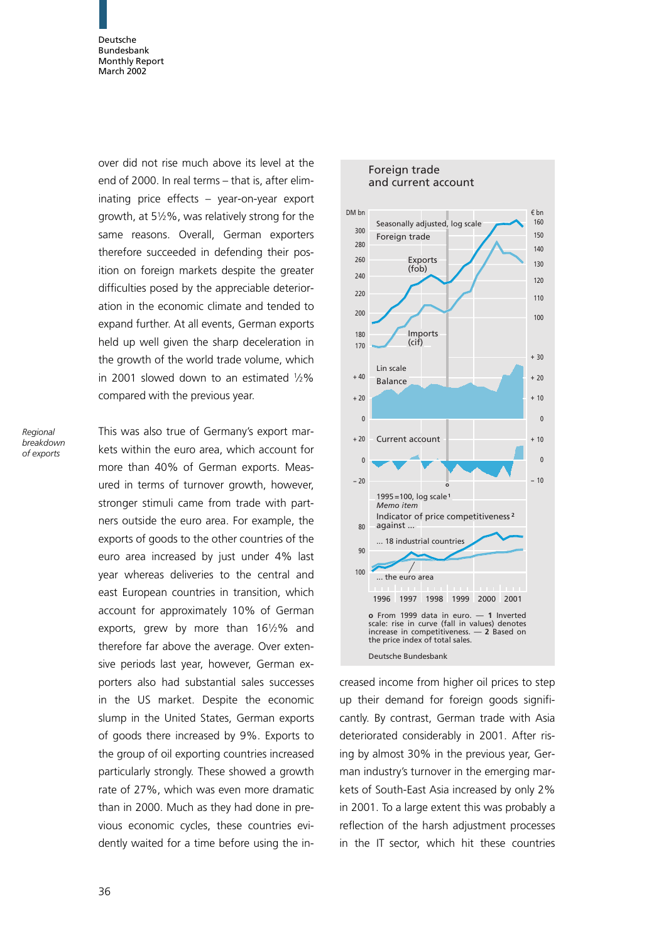over did not rise much above its level at the end of 2000. In real terms – that is, after eliminating price effects – year-on-year export growth, at  $5\frac{1}{2}\%$ , was relatively strong for the same reasons. Overall, German exporters therefore succeeded in defending their position on foreign markets despite the greater difficulties posed by the appreciable deterioration in the economic climate and tended to expand further. At all events, German exports held up well given the sharp deceleration in the growth of the world trade volume, which in 2001 slowed down to an estimated  $1/2\%$ compared with the previous year.

Regional breakdown of exports

This was also true of Germany's export markets within the euro area, which account for more than 40% of German exports. Measured in terms of turnover growth, however, stronger stimuli came from trade with partners outside the euro area. For example, the exports of goods to the other countries of the euro area increased by just under 4% last year whereas deliveries to the central and east European countries in transition, which account for approximately 10% of German exports, grew by more than 161/2% and therefore far above the average. Over extensive periods last year, however, German exporters also had substantial sales successes in the US market. Despite the economic slump in the United States, German exports of goods there increased by 9%. Exports to the group of oil exporting countries increased particularly strongly. These showed a growth rate of 27%, which was even more dramatic than in 2000. Much as they had done in previous economic cycles, these countries evidently waited for a time before using the in-



creased income from higher oil prices to step up their demand for foreign goods significantly. By contrast, German trade with Asia deteriorated considerably in 2001. After rising by almost 30% in the previous year, German industry's turnover in the emerging markets of South-East Asia increased by only 2% in 2001. To a large extent this was probably a reflection of the harsh adjustment processes in the IT sector, which hit these countries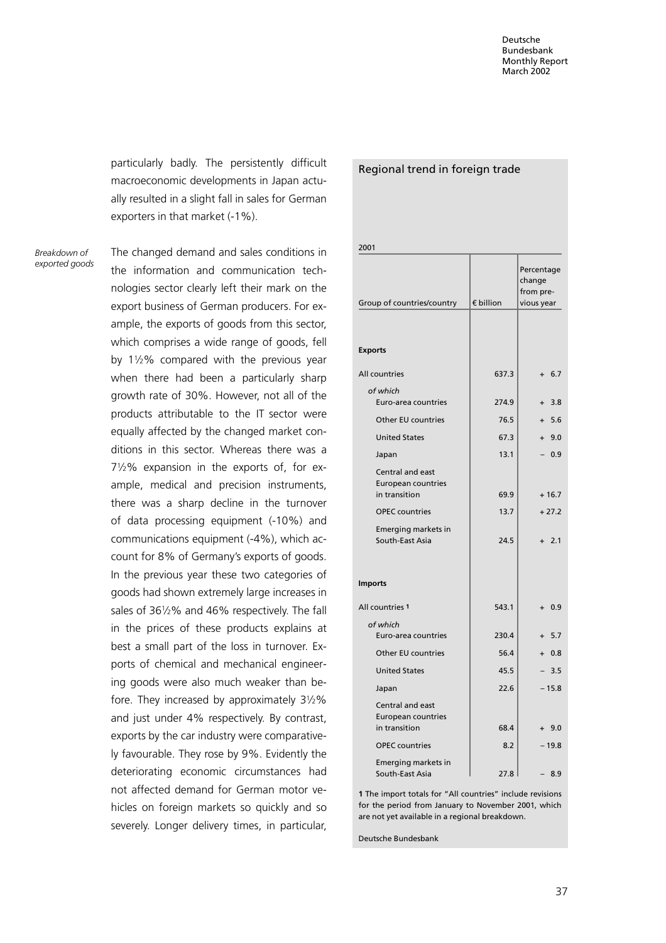particularly badly. The persistently difficult macroeconomic developments in Japan actually resulted in a slight fall in sales for German exporters in that market (-1%).

Breakdown of exported goods The changed demand and sales conditions in the information and communication technologies sector clearly left their mark on the export business of German producers. For example, the exports of goods from this sector, which comprises a wide range of goods, fell by  $1\frac{1}{2}\%$  compared with the previous year when there had been a particularly sharp growth rate of 30%. However, not all of the products attributable to the IT sector were equally affected by the changed market conditions in this sector. Whereas there was a  $7\frac{1}{2}\%$  expansion in the exports of, for example, medical and precision instruments, there was a sharp decline in the turnover of data processing equipment (-10%) and communications equipment (-4%), which account for 8% of Germany's exports of goods. In the previous year these two categories of goods had shown extremely large increases in sales of 3612% and 46% respectively. The fall in the prices of these products explains at best a small part of the loss in turnover. Exports of chemical and mechanical engineering goods were also much weaker than before. They increased by approximately 31/2% and just under 4% respectively. By contrast, exports by the car industry were comparatively favourable. They rose by 9%. Evidently the deteriorating economic circumstances had not affected demand for German motor vehicles on foreign markets so quickly and so severely. Longer delivery times, in particular,

| 2001                                                                                                                              |                      |                                                 |  |  |
|-----------------------------------------------------------------------------------------------------------------------------------|----------------------|-------------------------------------------------|--|--|
| Group of countries/country                                                                                                        | € billion            | Percentage<br>change<br>from pre-<br>vious year |  |  |
| <b>Exports</b>                                                                                                                    |                      |                                                 |  |  |
| All countries                                                                                                                     | 637.3                | $+ 6.7$                                         |  |  |
| of which<br>Euro-area countries                                                                                                   | 274.9                | 3.8<br>$+$                                      |  |  |
| <b>Other EU countries</b>                                                                                                         | 76.5                 | $+ 5.6$                                         |  |  |
| <b>United States</b>                                                                                                              | 67.3                 | 9.0<br>$\ddot{}$                                |  |  |
| Japan                                                                                                                             | 13.1                 | 0.9                                             |  |  |
| Central and east<br><b>European countries</b><br>in transition<br><b>OPEC</b> countries<br>Emerging markets in<br>South-East Asia | 69.9<br>13.7<br>24.5 | $+16.7$<br>$+27.2$<br>2.1<br>$+$                |  |  |
| <b>Imports</b><br>All countries 1                                                                                                 | 543.1                |                                                 |  |  |
| of which                                                                                                                          |                      | $+ 0.9$                                         |  |  |
| Euro-area countries                                                                                                               | 230.4                | 5.7                                             |  |  |
| Other EU countries                                                                                                                | 56.4                 | $+ 0.8$                                         |  |  |
| <b>United States</b>                                                                                                              | 45.5                 | $-3.5$                                          |  |  |
| Japan                                                                                                                             | 22.6                 | $-15.8$                                         |  |  |
| Central and east<br>European countries<br>in transition<br><b>OPEC</b> countries                                                  | 68.4<br>8.2          | $+9.0$<br>$-19.8$                               |  |  |
| Emerging markets in<br>South-East Asia                                                                                            | 27.8                 | 8.9                                             |  |  |

Regional trend in foreign trade

1 The import totals for "All countries" include revisions for the period from January to November 2001, which are not yet available in a regional breakdown.

Deutsche Bundesbank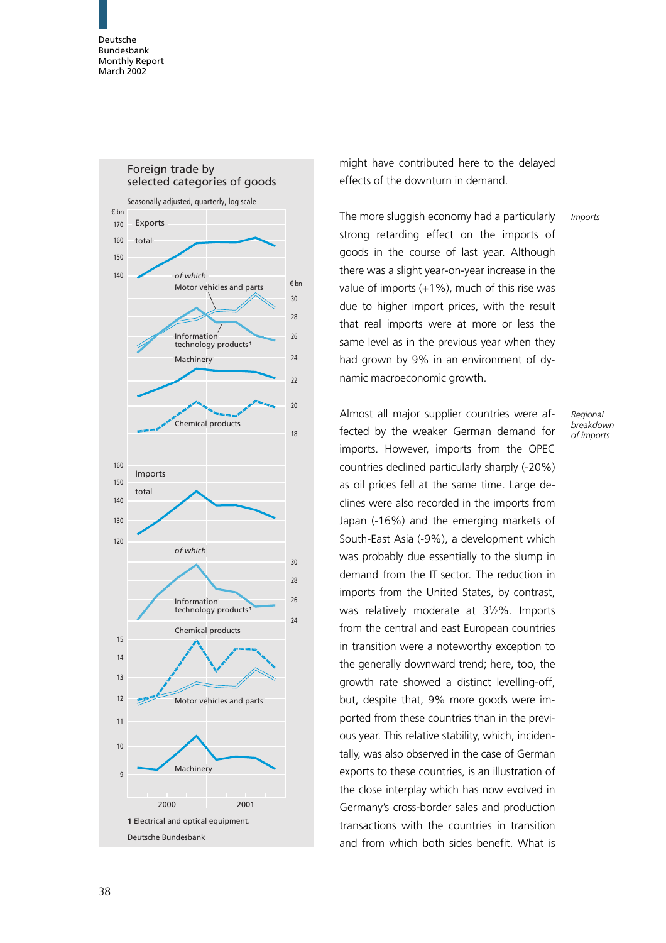

might have contributed here to the delayed effects of the downturn in demand.

The more sluggish economy had a particularly strong retarding effect on the imports of goods in the course of last year. Although there was a slight year-on-year increase in the value of imports (+1%), much of this rise was due to higher import prices, with the result that real imports were at more or less the same level as in the previous year when they had grown by 9% in an environment of dynamic macroeconomic growth. Imports

Almost all major supplier countries were affected by the weaker German demand for imports. However, imports from the OPEC countries declined particularly sharply (-20%) as oil prices fell at the same time. Large declines were also recorded in the imports from Japan (-16%) and the emerging markets of South-East Asia (-9%), a development which was probably due essentially to the slump in demand from the IT sector. The reduction in imports from the United States, by contrast, was relatively moderate at 312%. Imports from the central and east European countries in transition were a noteworthy exception to the generally downward trend; here, too, the growth rate showed a distinct levelling-off, but, despite that, 9% more goods were imported from these countries than in the previous year. This relative stability, which, incidentally, was also observed in the case of German exports to these countries, is an illustration of the close interplay which has now evolved in Germany's cross-border sales and production transactions with the countries in transition and from which both sides benefit. What is

Regional breakdown of imports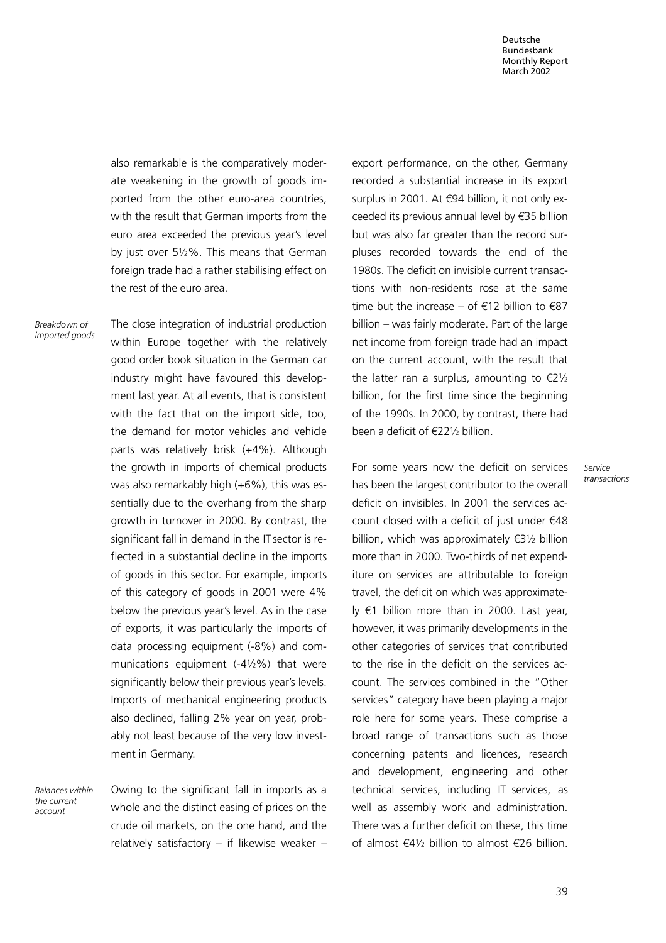also remarkable is the comparatively moderate weakening in the growth of goods imported from the other euro-area countries, with the result that German imports from the euro area exceeded the previous year's level by just over 512%. This means that German foreign trade had a rather stabilising effect on the rest of the euro area.

Breakdown of imported goods The close integration of industrial production within Europe together with the relatively good order book situation in the German car industry might have favoured this development last year. At all events, that is consistent with the fact that on the import side, too, the demand for motor vehicles and vehicle parts was relatively brisk (+4%). Although the growth in imports of chemical products was also remarkably high (+6%), this was essentially due to the overhang from the sharp growth in turnover in 2000. By contrast, the significant fall in demand in the IT sector is reflected in a substantial decline in the imports of goods in this sector. For example, imports of this category of goods in 2001 were 4% below the previous year's level. As in the case of exports, it was particularly the imports of data processing equipment (-8%) and communications equipment  $(-4\frac{1}{2}\%)$  that were significantly below their previous year's levels. Imports of mechanical engineering products also declined, falling 2% year on year, probably not least because of the very low investment in Germany.

Balances within the current account

Owing to the significant fall in imports as a whole and the distinct easing of prices on the crude oil markets, on the one hand, and the relatively satisfactory  $-$  if likewise weaker  $-$  export performance, on the other, Germany recorded a substantial increase in its export surplus in 2001. At €94 billion, it not only exceeded its previous annual level by  $\epsilon$ 35 billion but was also far greater than the record surpluses recorded towards the end of the 1980s. The deficit on invisible current transactions with non-residents rose at the same time but the increase – of  $\epsilon$ 12 billion to  $\epsilon$ 87 billion – was fairly moderate. Part of the large net income from foreign trade had an impact on the current account, with the result that the latter ran a surplus, amounting to  $\epsilon 2\frac{1}{2}$ billion, for the first time since the beginning of the 1990s. In 2000, by contrast, there had been a deficit of  $E22\%$  billion.

For some years now the deficit on services has been the largest contributor to the overall deficit on invisibles. In 2001 the services account closed with a deficit of just under  $€48$ billion, which was approximately  $\epsilon$ 31/2 billion more than in 2000. Two-thirds of net expenditure on services are attributable to foreign travel, the deficit on which was approximately  $\epsilon$ 1 billion more than in 2000. Last year, however, it was primarily developments in the other categories of services that contributed to the rise in the deficit on the services account. The services combined in the "Other services" category have been playing a major role here for some years. These comprise a broad range of transactions such as those concerning patents and licences, research and development, engineering and other technical services, including IT services, as well as assembly work and administration. There was a further deficit on these, this time of almost  $\epsilon$ 41/<sub>2</sub> billion to almost  $\epsilon$ 26 billion.

Service transactions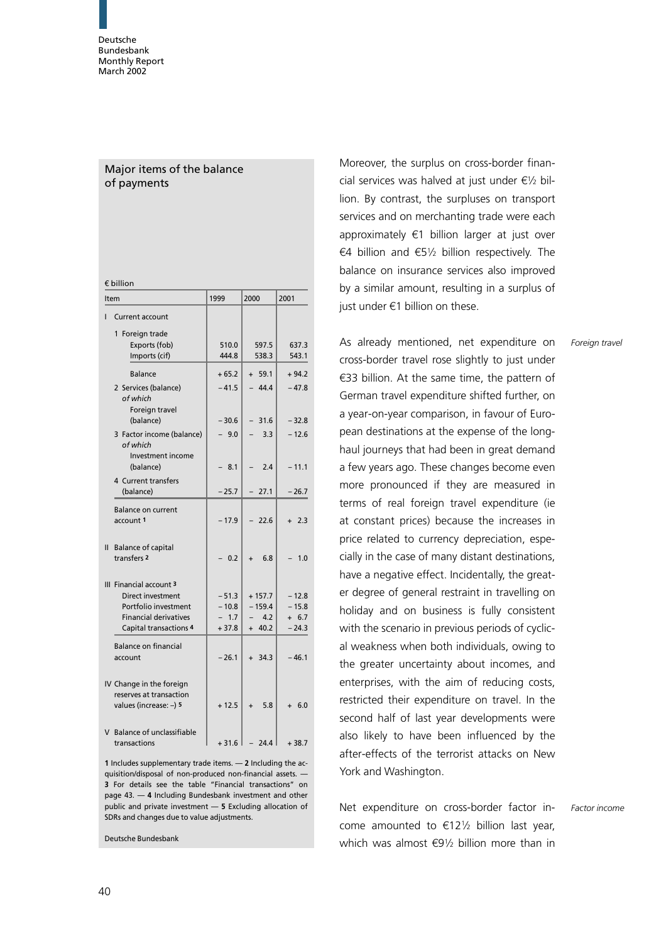# Major items of the balance of payments

| € billion     |                                                                                                                                       |                                         |                                         |                                          |  |  |  |
|---------------|---------------------------------------------------------------------------------------------------------------------------------------|-----------------------------------------|-----------------------------------------|------------------------------------------|--|--|--|
| Item          |                                                                                                                                       | 1999                                    | 2000                                    | 2001                                     |  |  |  |
| ı             | <b>Current account</b>                                                                                                                |                                         |                                         |                                          |  |  |  |
|               | 1 Foreign trade<br>Exports (fob)<br>Imports (cif)                                                                                     | 510.0<br>444.8                          | 597.5<br>538.3                          | 637.3<br>543.1                           |  |  |  |
|               | <b>Balance</b><br>2 Services (balance)<br>of which<br>Foreign travel                                                                  | $+65.2$<br>$-41.5$                      | $+ 59.1$<br>44.4                        | $+94.2$<br>$-47.8$                       |  |  |  |
|               | (balance)<br>3 Factor income (balance)<br>of which<br>Investment income                                                               | $-30.6$<br>$-9.0$                       | $-31.6$<br>3.3                          | $-32.8$<br>$-12.6$                       |  |  |  |
|               | (balance)<br>4 Current transfers<br>(balance)                                                                                         | 8.1<br>$-25.7$                          | 2.4<br>$-27.1$                          | $-11.1$<br>$-26.7$                       |  |  |  |
|               | <b>Balance on current</b><br>account 1                                                                                                | $-17.9$                                 | $-22.6$                                 | $+2.3$                                   |  |  |  |
| $\mathbf{II}$ | <b>Balance of capital</b><br>transfers <sub>2</sub>                                                                                   | 0.2                                     | 6.8<br>$\ddot{}$                        | 1.0                                      |  |  |  |
|               | III Financial account 3<br>Direct investment<br>Portfolio investment<br><b>Financial derivatives</b><br><b>Capital transactions 4</b> | $-51.3$<br>$-10.8$<br>$-1.7$<br>$+37.8$ | $+157.7$<br>$-159.4$<br>4.2<br>$+ 40.2$ | $-12.8$<br>$-15.8$<br>$+ 6.7$<br>$-24.3$ |  |  |  |
|               | <b>Balance on financial</b><br>account                                                                                                | $-26.1$                                 | $+ 34.3$                                | $-46.1$                                  |  |  |  |
|               | IV Change in the foreign<br>reserves at transaction<br>values (increase: -) 5                                                         | $+12.5$                                 | 5.8                                     | 6.0                                      |  |  |  |
|               | V Balance of unclassifiable<br>transactions                                                                                           | $+31.6$                                 | 24.4                                    | $+38.7$                                  |  |  |  |

1 Includes supplementary trade items. — 2 Including the acquisition/disposal of non-produced non-financial assets. — 3 For details see the table "Financial transactions" on page 43. — 4 Including Bundesbank investment and other public and private investment — 5 Excluding allocation of SDRs and changes due to value adjustments.

Deutsche Bundesbank

Moreover, the surplus on cross-border financial services was halved at just under  $\epsilon$ <sup>1</sup>/2 billion. By contrast, the surpluses on transport services and on merchanting trade were each approximately  $\epsilon$ 1 billion larger at just over €4 billion and €51/2 billion respectively. The balance on insurance services also improved by a similar amount, resulting in a surplus of just under  $\epsilon$ 1 billion on these.

As already mentioned, net expenditure on cross-border travel rose slightly to just under  $\epsilon$ 33 billion. At the same time, the pattern of German travel expenditure shifted further, on a year-on-year comparison, in favour of European destinations at the expense of the longhaul journeys that had been in great demand a few years ago. These changes become even more pronounced if they are measured in terms of real foreign travel expenditure (ie at constant prices) because the increases in price related to currency depreciation, especially in the case of many distant destinations, have a negative effect. Incidentally, the greater degree of general restraint in travelling on holiday and on business is fully consistent with the scenario in previous periods of cyclical weakness when both individuals, owing to the greater uncertainty about incomes, and enterprises, with the aim of reducing costs, restricted their expenditure on travel. In the second half of last year developments were also likely to have been influenced by the after-effects of the terrorist attacks on New York and Washington.

Net expenditure on cross-border factor income amounted to  $\epsilon$ 121/<sub>2</sub> billion last year, which was almost  $69\frac{1}{2}$  billion more than in

Foreign travel

Factor income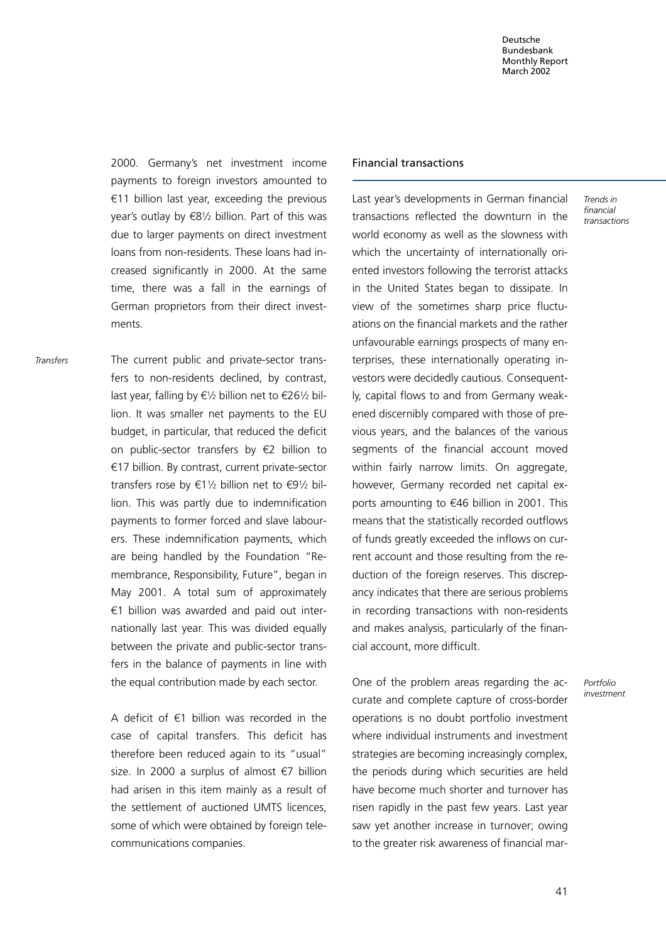2000. Germany's net investment income payments to foreign investors amounted to  $€11$  billion last year, exceeding the previous year's outlay by  $\epsilon$ 81/2 billion. Part of this was due to larger payments on direct investment loans from non-residents. These loans had increased significantly in 2000. At the same time, there was a fall in the earnings of German proprietors from their direct investments.

The current public and private-sector transfers to non-residents declined, by contrast, last year, falling by  $\epsilon$ <sup>1</sup>/2 billion net to  $\epsilon$ 26<sup>1</sup>/2 billion. It was smaller net payments to the EU budget, in particular, that reduced the deficit on public-sector transfers by  $\epsilon$ 2 billion to  $€17$  billion. By contrast, current private-sector transfers rose by  $\epsilon$ 11/2 billion net to  $\epsilon$ 91/2 billion. This was partly due to indemnification payments to former forced and slave labourers. These indemnification payments, which are being handled by the Foundation "Remembrance, Responsibility, Future", began in May 2001. A total sum of approximately  $€1$  billion was awarded and paid out internationally last year. This was divided equally between the private and public-sector transfers in the balance of payments in line with the equal contribution made by each sector. Transfers

> A deficit of  $\epsilon$ 1 billion was recorded in the case of capital transfers. This deficit has therefore been reduced again to its "usual" size. In 2000 a surplus of almost  $\epsilon$ 7 billion had arisen in this item mainly as a result of the settlement of auctioned UMTS licences, some of which were obtained by foreign telecommunications companies.

#### Financial transactions

Last year's developments in German financial transactions reflected the downturn in the world economy as well as the slowness with which the uncertainty of internationally oriented investors following the terrorist attacks in the United States began to dissipate. In view of the sometimes sharp price fluctuations on the financial markets and the rather unfavourable earnings prospects of many enterprises, these internationally operating investors were decidedly cautious. Consequently, capital flows to and from Germany weakened discernibly compared with those of previous years, and the balances of the various segments of the financial account moved within fairly narrow limits. On aggregate, however, Germany recorded net capital exports amounting to  $€46$  billion in 2001. This means that the statistically recorded outflows of funds greatly exceeded the inflows on current account and those resulting from the reduction of the foreign reserves. This discrepancy indicates that there are serious problems in recording transactions with non-residents and makes analysis, particularly of the financial account, more difficult.

One of the problem areas regarding the accurate and complete capture of cross-border operations is no doubt portfolio investment where individual instruments and investment strategies are becoming increasingly complex, the periods during which securities are held have become much shorter and turnover has risen rapidly in the past few years. Last year saw yet another increase in turnover; owing to the greater risk awareness of financial marTrends in financial transactions

Portfolio investment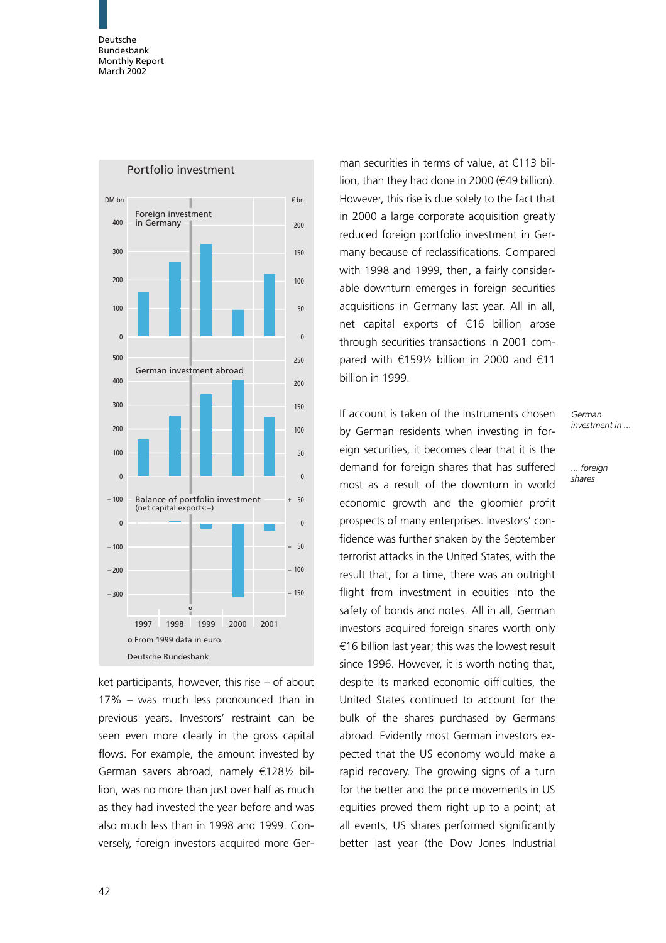

ket participants, however, this rise – of about 17% – was much less pronounced than in previous years. Investors' restraint can be seen even more clearly in the gross capital flows. For example, the amount invested by German savers abroad, namely  $\epsilon$ 1281/2 billion, was no more than just over half as much as they had invested the year before and was also much less than in 1998 and 1999. Conversely, foreign investors acquired more Ger-

man securities in terms of value, at  $€113$  billion, than they had done in 2000 ( $€49$  billion). However, this rise is due solely to the fact that in 2000 a large corporate acquisition greatly reduced foreign portfolio investment in Germany because of reclassifications. Compared with 1998 and 1999, then, a fairly considerable downturn emerges in foreign securities acquisitions in Germany last year. All in all, net capital exports of  $\epsilon$ 16 billion arose through securities transactions in 2001 compared with  $\epsilon$ 1591/<sub>2</sub> billion in 2000 and  $\epsilon$ 11 billion in 1999.

If account is taken of the instruments chosen by German residents when investing in foreign securities, it becomes clear that it is the demand for foreign shares that has suffered most as a result of the downturn in world economic growth and the gloomier profit prospects of many enterprises. Investors' confidence was further shaken by the September terrorist attacks in the United States, with the result that, for a time, there was an outright flight from investment in equities into the safety of bonds and notes. All in all, German investors acquired foreign shares worth only  $€16$  billion last year; this was the lowest result since 1996. However, it is worth noting that, despite its marked economic difficulties, the United States continued to account for the bulk of the shares purchased by Germans abroad. Evidently most German investors expected that the US economy would make a rapid recovery. The growing signs of a turn for the better and the price movements in US equities proved them right up to a point; at all events, US shares performed significantly better last year (the Dow Jones Industrial

German investment in ...

... foreign shares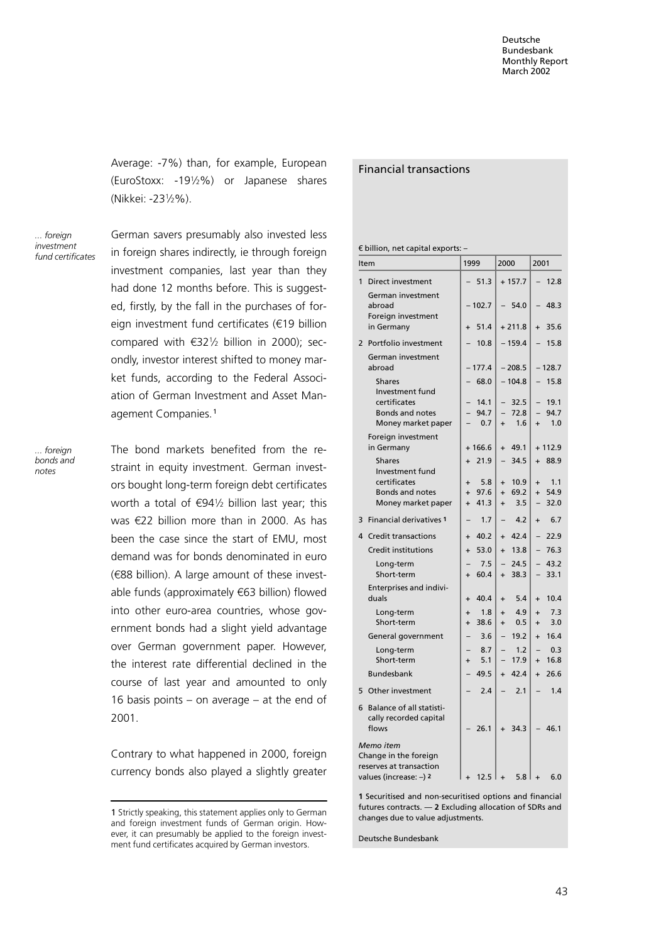Average: -7%) than, for example, European (EuroStoxx: -1912%) or Japanese shares (Nikkei: -231/2%).

... foreign investment fund certificates German savers presumably also invested less in foreign shares indirectly, ie through foreign investment companies, last year than they had done 12 months before. This is suggested, firstly, by the fall in the purchases of foreign investment fund certificates ( $€19$  billion compared with  $632\frac{1}{2}$  billion in 2000); secondly, investor interest shifted to money market funds, according to the Federal Association of German Investment and Asset Management Companies.<sup>1</sup>

.<br>foreign bonds and notes

The bond markets benefited from the restraint in equity investment. German investors bought long-term foreign debt certificates worth a total of  $\epsilon$ 941/<sub>2</sub> billion last year; this was  $E22$  billion more than in 2000. As has been the case since the start of EMU, most demand was for bonds denominated in euro (388 billion). A large amount of these investable funds (approximately  $€63$  billion) flowed into other euro-area countries, whose government bonds had a slight yield advantage over German government paper. However, the interest rate differential declined in the course of last year and amounted to only 16 basis points – on average – at the end of 2001.

Contrary to what happened in 2000, foreign currency bonds also played a slightly greater

### Financial transactions

 $\epsilon$  billion, net capital exports: -

| Item                                                                                    |                                                                 | 1999                          |                     | 2000                                  |                     | 2001                                  |                     |
|-----------------------------------------------------------------------------------------|-----------------------------------------------------------------|-------------------------------|---------------------|---------------------------------------|---------------------|---------------------------------------|---------------------|
| $\mathbf{1}$<br>Direct investment                                                       |                                                                 |                               | 51.3                |                                       | $+157.7$            | $\overline{\phantom{0}}$              | 12.8                |
| abroad                                                                                  | German investment<br>Foreign investment                         |                               | $-102.7$            |                                       | 54.0                |                                       | 48.3                |
| in Germany                                                                              |                                                                 | $\ddot{}$                     | 51.4                |                                       | $+211.8$            | $\ddot{}$                             | 35.6                |
| $\overline{2}$                                                                          | Portfolio investment                                            |                               | 10.8                |                                       | $-159.4$            |                                       | 15.8                |
| abroad                                                                                  | German investment                                               |                               | $-177.4$            |                                       | $-208.5$            |                                       | $-128.7$            |
| <b>Shares</b>                                                                           |                                                                 |                               | 68.0                |                                       | $-104.8$            |                                       | 15.8                |
| certificates                                                                            | Investment fund<br><b>Bonds and notes</b><br>Money market paper |                               | 14.1<br>94.7<br>0.7 | $\overline{\phantom{0}}$<br>$\ddot{}$ | 32.5<br>72.8<br>1.6 | $\overline{\phantom{0}}$<br>$\ddot{}$ | 19.1<br>94.7<br>1.0 |
| in Germany                                                                              | Foreign investment                                              |                               | $+166.6$            | $\ddot{}$                             | 49.1                |                                       | $+112.9$            |
| <b>Shares</b>                                                                           | Investment fund                                                 | $\ddot{}$                     | 21.9                | $\overline{\phantom{0}}$              | 34.5                |                                       | $+88.9$             |
| certificates                                                                            | <b>Bonds and notes</b><br>Money market paper                    | $\ddot{}$<br>$+$<br>$\ddot{}$ | 5.8<br>97.6<br>41.3 | $\ddot{}$<br>$+$<br>$\ddot{}$         | 10.9<br>69.2<br>3.5 | $\ddot{}$<br>$+$<br>$\qquad \qquad -$ | 1.1<br>54.9<br>32.0 |
| 3                                                                                       | <b>Financial derivatives 1</b>                                  |                               | 1.7                 |                                       | 4.2                 | $\ddot{}$                             | 6.7                 |
| 4<br><b>Credit transactions</b>                                                         |                                                                 | $\ddot{}$                     | 40.2                | $\ddot{}$                             | 42.4                |                                       | 22.9                |
| <b>Credit institutions</b>                                                              |                                                                 | $\ddot{}$                     | 53.0                | $\ddot{}$                             | 13.8                |                                       | 76.3                |
| Long-term<br>Short-term                                                                 |                                                                 | $\ddot{}$                     | 7.5<br>60.4         | $\overline{a}$<br>$\ddot{}$           | 24.5<br>38.3        | $\qquad \qquad -$                     | 43.2<br>33.1        |
| duals                                                                                   | Enterprises and indivi-                                         | $\ddot{}$                     | 40.4                | $\ddot{}$                             | 5.4                 | $\ddot{}$                             | 10.4                |
| Long-term<br>Short-term                                                                 |                                                                 | $\ddot{}$<br>$\ddot{}$        | 1.8<br>38.6         | $\ddot{}$<br>$\ddot{}$                | 4.9<br>0.5          | $\ddot{}$<br>$\ddot{}$                | 7.3<br>3.0          |
|                                                                                         | General government                                              |                               | 3.6                 | $\overline{a}$                        | 19.2                | $+$                                   | 16.4                |
| Long-term<br>Short-term                                                                 |                                                                 | $\ddot{}$                     | 8.7<br>5.1          |                                       | 1.2<br>17.9         | $\ddot{}$                             | 0.3<br>16.8         |
| <b>Bundesbank</b>                                                                       |                                                                 |                               | 49.5                | $+$                                   | 42.4                | $+$                                   | 26.6                |
| Other investment<br>5                                                                   |                                                                 |                               | 2.4                 |                                       | 2.1                 |                                       | 1.4                 |
| 6<br>flows                                                                              | Balance of all statisti-<br>cally recorded capital              |                               | 26.1                |                                       | 34.3                |                                       | 46.1                |
| Memo item<br>Change in the foreign<br>reserves at transaction<br>values (increase: -) 2 |                                                                 |                               | 12.5                | $\ddot{}$                             | 5.8                 |                                       | 6.0                 |

1 Securitised and non-securitised options and financial futures contracts. — 2 Excluding allocation of SDRs and changes due to value adjustments.

Deutsche Bundesbank

<sup>1</sup> Strictly speaking, this statement applies only to German and foreign investment funds of German origin. However, it can presumably be applied to the foreign investment fund certificates acquired by German investors.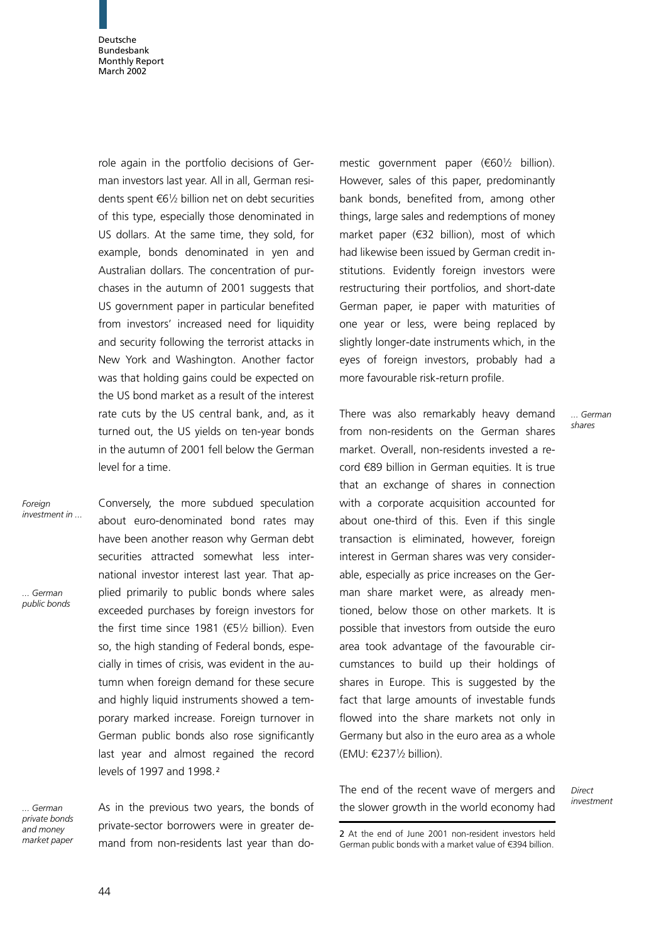role again in the portfolio decisions of German investors last year. All in all, German residents spent  $\epsilon$ 61/2 billion net on debt securities of this type, especially those denominated in US dollars. At the same time, they sold, for example, bonds denominated in yen and Australian dollars. The concentration of purchases in the autumn of 2001 suggests that US government paper in particular benefited from investors' increased need for liquidity and security following the terrorist attacks in New York and Washington. Another factor was that holding gains could be expected on the US bond market as a result of the interest rate cuts by the US central bank, and, as it turned out, the US yields on ten-year bonds in the autumn of 2001 fell below the German level for a time.

Foreian investment in ...

... German public bonds Conversely, the more subdued speculation about euro-denominated bond rates may have been another reason why German debt securities attracted somewhat less international investor interest last year. That applied primarily to public bonds where sales exceeded purchases by foreign investors for the first time since 1981 ( $\epsilon$ 51/2 billion). Even so, the high standing of Federal bonds, especially in times of crisis, was evident in the autumn when foreign demand for these secure and highly liquid instruments showed a temporary marked increase. Foreign turnover in German public bonds also rose significantly last year and almost regained the record levels of 1997 and 1998.<sup>2</sup>

... German private bonds and money market paper

As in the previous two years, the bonds of private-sector borrowers were in greater demand from non-residents last year than do-

mestic government paper  $(60\frac{1}{2}$  billion). However, sales of this paper, predominantly bank bonds, benefited from, among other things, large sales and redemptions of money market paper  $(632$  billion), most of which had likewise been issued by German credit institutions. Evidently foreign investors were restructuring their portfolios, and short-date German paper, ie paper with maturities of one year or less, were being replaced by slightly longer-date instruments which, in the eyes of foreign investors, probably had a more favourable risk-return profile.

There was also remarkably heavy demand from non-residents on the German shares market. Overall, non-residents invested a re- $\cot \epsilon$  689 billion in German equities. It is true that an exchange of shares in connection with a corporate acquisition accounted for about one-third of this. Even if this single transaction is eliminated, however, foreign interest in German shares was very considerable, especially as price increases on the German share market were, as already mentioned, below those on other markets. It is possible that investors from outside the euro area took advantage of the favourable circumstances to build up their holdings of shares in Europe. This is suggested by the fact that large amounts of investable funds flowed into the share markets not only in Germany but also in the euro area as a whole (EMU:  $\epsilon$ 2371/<sub>2</sub> billion).

The end of the recent wave of mergers and the slower growth in the world economy had

**Direct** investment

... German shares

<sup>2</sup> At the end of June 2001 non-resident investors held German public bonds with a market value of  $\epsilon$ 394 billion.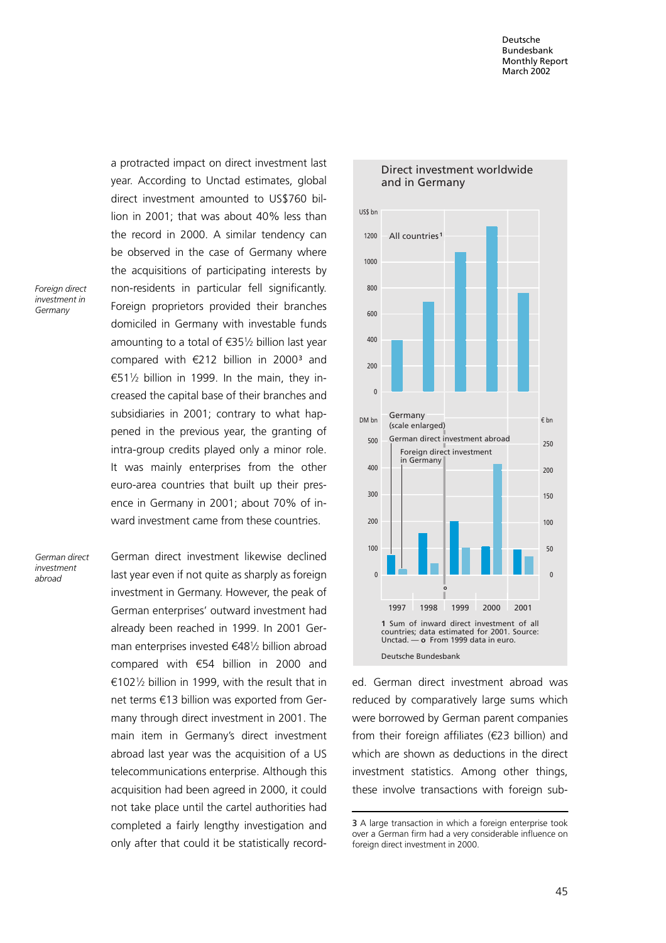Foreign direct investment in **Germany** 

a protracted impact on direct investment last year. According to Unctad estimates, global direct investment amounted to US\$760 billion in 2001; that was about 40% less than the record in 2000. A similar tendency can be observed in the case of Germany where the acquisitions of participating interests by non-residents in particular fell significantly. Foreign proprietors provided their branches domiciled in Germany with investable funds amounting to a total of  $\epsilon$ 351/2 billion last year compared with  $\epsilon$ 212 billion in 2000<sup>3</sup> and  $651\frac{1}{2}$  billion in 1999. In the main, they increased the capital base of their branches and subsidiaries in 2001; contrary to what happened in the previous year, the granting of intra-group credits played only a minor role. It was mainly enterprises from the other euro-area countries that built up their presence in Germany in 2001; about 70% of inward investment came from these countries.

German direct investment abroad

German direct investment likewise declined last year even if not quite as sharply as foreign investment in Germany. However, the peak of German enterprises' outward investment had already been reached in 1999. In 2001 German enterprises invested  $\epsilon$ 481/2 billion abroad compared with  $€54$  billion in 2000 and  $£102\%$  billion in 1999, with the result that in net terms €13 billion was exported from Germany through direct investment in 2001. The main item in Germany's direct investment abroad last year was the acquisition of a US telecommunications enterprise. Although this acquisition had been agreed in 2000, it could not take place until the cartel authorities had completed a fairly lengthy investigation and only after that could it be statistically record-



ed. German direct investment abroad was reduced by comparatively large sums which were borrowed by German parent companies from their foreign affiliates ( $\epsilon$ 23 billion) and which are shown as deductions in the direct investment statistics. Among other things, these involve transactions with foreign sub-

<sup>3</sup> A large transaction in which a foreign enterprise took over a German firm had a very considerable influence on foreign direct investment in 2000.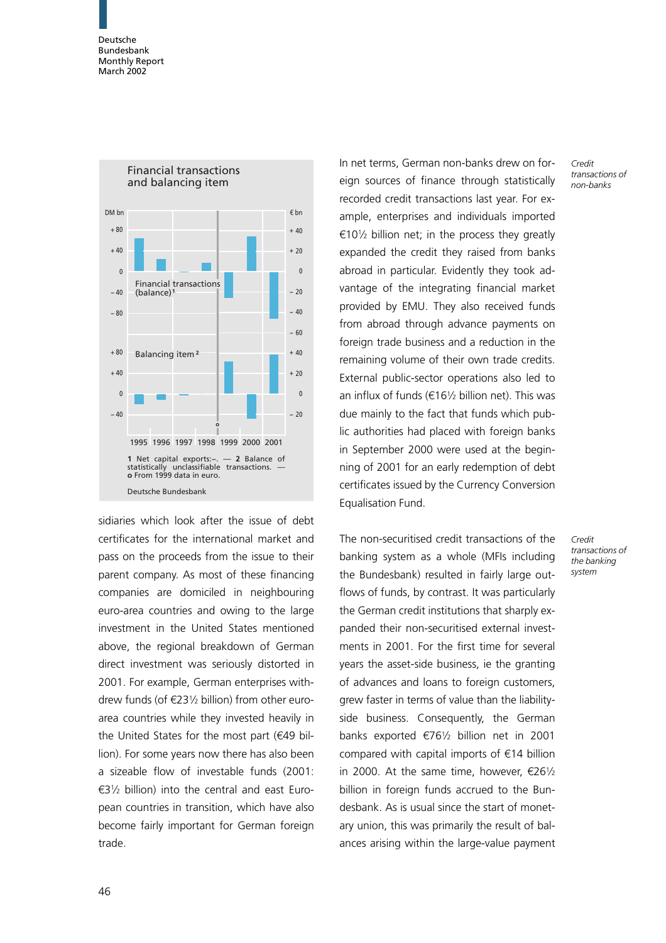

sidiaries which look after the issue of debt certificates for the international market and pass on the proceeds from the issue to their parent company. As most of these financing companies are domiciled in neighbouring euro-area countries and owing to the large investment in the United States mentioned above, the regional breakdown of German direct investment was seriously distorted in 2001. For example, German enterprises withdrew funds (of  $\epsilon$ 231/2 billion) from other euroarea countries while they invested heavily in the United States for the most part ( $€49$  billion). For some years now there has also been a sizeable flow of investable funds (2001:  $E3\frac{1}{2}$  billion) into the central and east European countries in transition, which have also become fairly important for German foreign trade.

In net terms, German non-banks drew on foreign sources of finance through statistically recorded credit transactions last year. For example, enterprises and individuals imported  $€10\frac{1}{2}$  billion net; in the process they greatly expanded the credit they raised from banks abroad in particular. Evidently they took advantage of the integrating financial market provided by EMU. They also received funds from abroad through advance payments on foreign trade business and a reduction in the remaining volume of their own trade credits. External public-sector operations also led to an influx of funds ( $\epsilon$ 161/<sub>2</sub> billion net). This was due mainly to the fact that funds which public authorities had placed with foreign banks in September 2000 were used at the beginning of 2001 for an early redemption of debt certificates issued by the Currency Conversion Equalisation Fund.

The non-securitised credit transactions of the banking system as a whole (MFIs including the Bundesbank) resulted in fairly large outflows of funds, by contrast. It was particularly the German credit institutions that sharply expanded their non-securitised external investments in 2001. For the first time for several years the asset-side business, ie the granting of advances and loans to foreign customers, grew faster in terms of value than the liabilityside business. Consequently, the German banks exported  $\epsilon$ 761/<sub>2</sub> billion net in 2001 compared with capital imports of  $\epsilon$ 14 billion in 2000. At the same time, however,  $\epsilon$ 261/2 billion in foreign funds accrued to the Bundesbank. As is usual since the start of monetary union, this was primarily the result of balances arising within the large-value payment Credit transactions of non-banks

Credit transactions of the banking system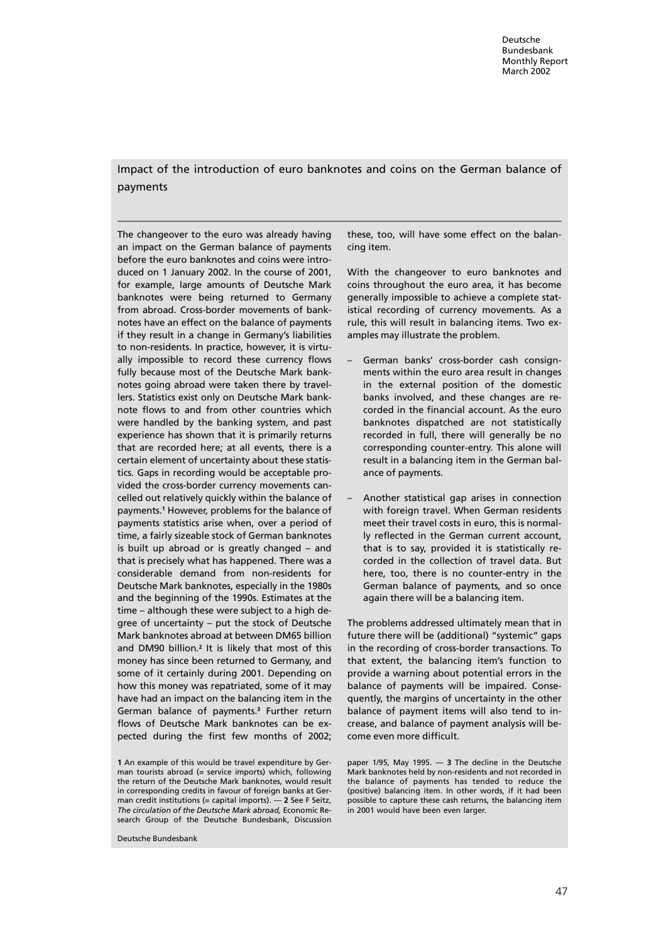# Impact of the introduction of euro banknotes and coins on the German balance of payments

The changeover to the euro was already having an impact on the German balance of payments before the euro banknotes and coins were introduced on 1 January 2002. In the course of 2001, for example, large amounts of Deutsche Mark banknotes were being returned to Germany from abroad. Cross-border movements of banknotes have an effect on the balance of payments if they result in a change in Germany's liabilities to non-residents. In practice, however, it is virtually impossible to record these currency flows fully because most of the Deutsche Mark banknotes going abroad were taken there by travellers. Statistics exist only on Deutsche Mark banknote flows to and from other countries which were handled by the banking system, and past experience has shown that it is primarily returns that are recorded here; at all events, there is a certain element of uncertainty about these statistics. Gaps in recording would be acceptable provided the cross-border currency movements cancelled out relatively quickly within the balance of payments.<sup>1</sup> However, problems for the balance of payments statistics arise when, over a period of time, a fairly sizeable stock of German banknotes is built up abroad or is greatly changed – and that is precisely what has happened. There was a considerable demand from non-residents for Deutsche Mark banknotes, especially in the 1980s and the beginning of the 1990s. Estimates at the time – although these were subject to a high degree of uncertainty – put the stock of Deutsche Mark banknotes abroad at between DM65 billion and DM90 billion.<sup>2</sup> It is likely that most of this money has since been returned to Germany, and some of it certainly during 2001. Depending on how this money was repatriated, some of it may have had an impact on the balancing item in the German balance of payments.<sup>3</sup> Further return flows of Deutsche Mark banknotes can be expected during the first few months of 2002;

Deutsche Bundesbank

these, too, will have some effect on the balancing item.

With the changeover to euro banknotes and coins throughout the euro area, it has become generally impossible to achieve a complete statistical recording of currency movements. As a rule, this will result in balancing items. Two examples may illustrate the problem.

- German banks' cross-border cash consignments within the euro area result in changes in the external position of the domestic banks involved, and these changes are recorded in the financial account. As the euro banknotes dispatched are not statistically recorded in full, there will generally be no corresponding counter-entry. This alone will result in a balancing item in the German balance of payments.
- Another statistical gap arises in connection with foreign travel. When German residents meet their travel costs in euro, this is normally reflected in the German current account, that is to say, provided it is statistically recorded in the collection of travel data. But here, too, there is no counter-entry in the German balance of payments, and so once again there will be a balancing item.

The problems addressed ultimately mean that in future there will be (additional) "systemic" gaps in the recording of cross-border transactions. To that extent, the balancing item's function to provide a warning about potential errors in the balance of payments will be impaired. Consequently, the margins of uncertainty in the other balance of payment items will also tend to increase, and balance of payment analysis will become even more difficult.

paper 1/95, May 1995. — 3 The decline in the Deutsche Mark banknotes held by non-residents and not recorded in the balance of payments has tended to reduce the (positive) balancing item. In other words, if it had been possible to capture these cash returns, the balancing item in 2001 would have been even larger.

<sup>1</sup> An example of this would be travel expenditure by German tourists abroad (= service imports) which, following the return of the Deutsche Mark banknotes, would result in corresponding credits in favour of foreign banks at German credit institutions (= capital imports). — 2 See F Seitz, The circulation of the Deutsche Mark abroad, Economic Research Group of the Deutsche Bundesbank, Discussion